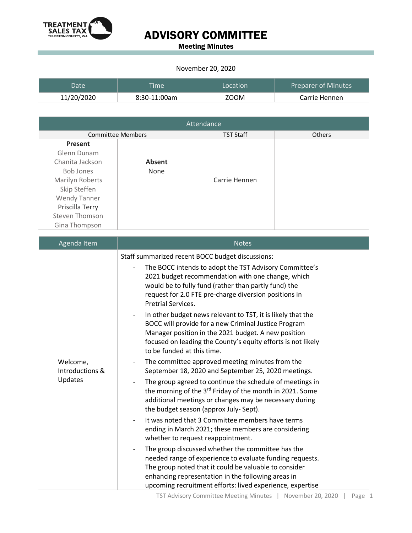

## ADVISORY COMMITTEE

Meeting Minutes

## November 20, 2020

| <b>Date</b> | <b>Time</b>  | Location    | <b>Preparer of Minutes</b> |
|-------------|--------------|-------------|----------------------------|
| 11/20/2020  | 8:30-11:00am | <b>ZOOM</b> | Carrie Hennen              |

| Attendance                                                                                                                                                                           |                |                  |               |  |  |
|--------------------------------------------------------------------------------------------------------------------------------------------------------------------------------------|----------------|------------------|---------------|--|--|
| <b>Committee Members</b>                                                                                                                                                             |                | <b>TST Staff</b> | <b>Others</b> |  |  |
| <b>Present</b><br>Glenn Dunam<br>Chanita Jackson<br><b>Bob Jones</b><br>Marilyn Roberts<br>Skip Steffen<br><b>Wendy Tanner</b><br>Priscilla Terry<br>Steven Thomson<br>Gina Thompson | Absent<br>None | Carrie Hennen    |               |  |  |

| Agenda Item                            | <b>Notes</b>                                                                                                                                                                                                                                                                                                          |
|----------------------------------------|-----------------------------------------------------------------------------------------------------------------------------------------------------------------------------------------------------------------------------------------------------------------------------------------------------------------------|
| Welcome,<br>Introductions &<br>Updates | Staff summarized recent BOCC budget discussions:<br>The BOCC intends to adopt the TST Advisory Committee's<br>2021 budget recommendation with one change, which<br>would be to fully fund (rather than partly fund) the<br>request for 2.0 FTE pre-charge diversion positions in<br><b>Pretrial Services.</b>         |
|                                        | In other budget news relevant to TST, it is likely that the<br>BOCC will provide for a new Criminal Justice Program<br>Manager position in the 2021 budget. A new position<br>focused on leading the County's equity efforts is not likely<br>to be funded at this time.                                              |
|                                        | The committee approved meeting minutes from the<br>September 18, 2020 and September 25, 2020 meetings.                                                                                                                                                                                                                |
|                                        | The group agreed to continue the schedule of meetings in<br>the morning of the 3 <sup>rd</sup> Friday of the month in 2021. Some<br>additional meetings or changes may be necessary during<br>the budget season (approx July-Sept).                                                                                   |
|                                        | It was noted that 3 Committee members have terms<br>ending in March 2021; these members are considering<br>whether to request reappointment.                                                                                                                                                                          |
|                                        | The group discussed whether the committee has the<br>$\overline{\phantom{a}}$<br>needed range of experience to evaluate funding requests.<br>The group noted that it could be valuable to consider<br>enhancing representation in the following areas in<br>upcoming recruitment efforts: lived experience, expertise |